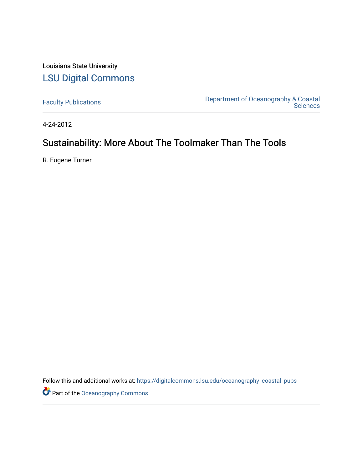Louisiana State University [LSU Digital Commons](https://digitalcommons.lsu.edu/)

[Faculty Publications](https://digitalcommons.lsu.edu/oceanography_coastal_pubs) [Department of Oceanography & Coastal](https://digitalcommons.lsu.edu/oceanography_coastal)  **Sciences** 

4-24-2012

# Sustainability: More About The Toolmaker Than The Tools

R. Eugene Turner

Follow this and additional works at: [https://digitalcommons.lsu.edu/oceanography\\_coastal\\_pubs](https://digitalcommons.lsu.edu/oceanography_coastal_pubs?utm_source=digitalcommons.lsu.edu%2Foceanography_coastal_pubs%2F116&utm_medium=PDF&utm_campaign=PDFCoverPages) 

Part of the [Oceanography Commons](http://network.bepress.com/hgg/discipline/191?utm_source=digitalcommons.lsu.edu%2Foceanography_coastal_pubs%2F116&utm_medium=PDF&utm_campaign=PDFCoverPages)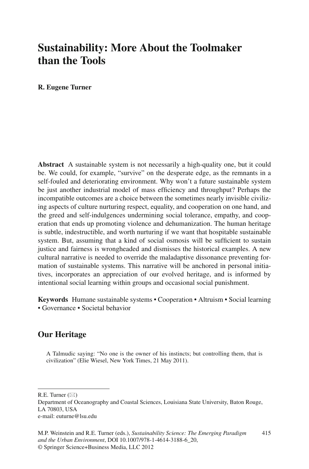# **Sustainability: More About the Toolmaker than the Tools**

 **R. Eugene Turner** 

 **Abstract** A sustainable system is not necessarily a high-quality one, but it could be. We could, for example, "survive" on the desperate edge, as the remnants in a self-fouled and deteriorating environment. Why won't a future sustainable system be just another industrial model of mass efficiency and throughput? Perhaps the incompatible outcomes are a choice between the sometimes nearly invisible civilizing aspects of culture nurturing respect, equality, and cooperation on one hand, and the greed and self-indulgences undermining social tolerance, empathy, and cooperation that ends up promoting violence and dehumanization. The human heritage is subtle, indestructible, and worth nurturing if we want that hospitable sustainable system. But, assuming that a kind of social osmosis will be sufficient to sustain justice and fairness is wrongheaded and dismisses the historical examples. A new cultural narrative is needed to override the maladaptive dissonance preventing formation of sustainable systems. This narrative will be anchored in personal initiatives, incorporates an appreciation of our evolved heritage, and is informed by intentional social learning within groups and occasional social punishment.

 **Keywords** Humane sustainable systems • Cooperation • Altruism • Social learning • Governance • Societal behavior

### **Our Heritage**

 A Talmudic saying: "No one is the owner of his instincts; but controlling them, that is civilization" (Elie Wiesel, New York Times, 21 May 2011).

R.E. Turner  $(\boxtimes)$ 

Department of Oceanography and Coastal Sciences, Louisiana State University, Baton Rouge, LA 70803, USA e-mail: euturne@lsu.edu

M.P. Weinstein and R.E. Turner (eds.), *Sustainability Science: The Emerging Paradigm* 415 *and the Urban Environment*, DOI 10.1007/978-1-4614-3188-6\_20, © Springer Science+Business Media, LLC 2012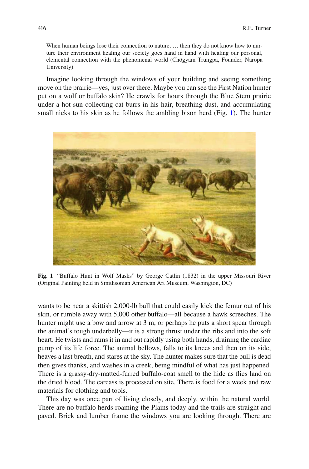When human beings lose their connection to nature, ... then they do not know how to nurture their environment healing our society goes hand in hand with healing our personal, elemental connection with the phenomenal world (Chögyam Trungpa, Founder, Naropa University).

 Imagine looking through the windows of your building and seeing something move on the prairie—yes, just over there. Maybe you can see the First Nation hunter put on a wolf or buffalo skin? He crawls for hours through the Blue Stem prairie under a hot sun collecting cat burrs in his hair, breathing dust, and accumulating small nicks to his skin as he follows the ambling bison herd (Fig. 1). The hunter



 **Fig. 1** "Buffalo Hunt in Wolf Masks" by George Catlin (1832) in the upper Missouri River (Original Painting held in Smithsonian American Art Museum, Washington, DC)

wants to be near a skittish 2,000-lb bull that could easily kick the femur out of his skin, or rumble away with 5,000 other buffalo—all because a hawk screeches. The hunter might use a bow and arrow at 3 m, or perhaps he puts a short spear through the animal's tough underbelly—it is a strong thrust under the ribs and into the soft heart. He twists and rams it in and out rapidly using both hands, draining the cardiac pump of its life force. The animal bellows, falls to its knees and then on its side, heaves a last breath, and stares at the sky. The hunter makes sure that the bull is dead then gives thanks, and washes in a creek, being mindful of what has just happened. There is a grassy-dry-matted-furred buffalo-coat smell to the hide as flies land on the dried blood. The carcass is processed on site. There is food for a week and raw materials for clothing and tools.

 This day was once part of living closely, and deeply, within the natural world. There are no buffalo herds roaming the Plains today and the trails are straight and paved. Brick and lumber frame the windows you are looking through. There are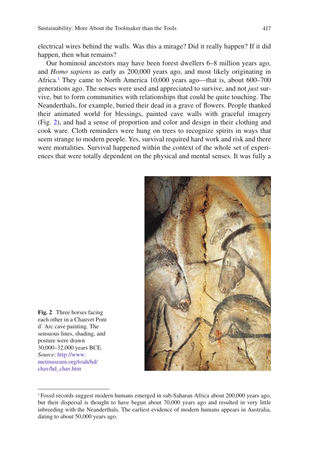electrical wires behind the walls. Was this a mirage? Did it really happen? If it did happen, then what remains?

 Our hominoid ancestors may have been forest dwellers 6–8 million years ago, and *Homo sapiens* as early as 200,000 years ago, and most likely originating in Africa.<sup>1</sup> They came to North America 10,000 years ago—that is, about 600–700 generations ago. The senses were used and appreciated to survive, and not *just* survive, but to form communities with relationships that could be quite touching. The Neanderthals, for example, buried their dead in a grave of flowers. People thanked their animated world for blessings, painted cave walls with graceful imagery (Fig. 2), and had a sense of proportion and color and design in their clothing and cook ware. Cloth reminders were hung on trees to recognize spirits in ways that seem strange to modern people. Yes, survival required hard work and risk and there were mortalities. Survival happened within the context of the whole set of experiences that were totally dependent on the physical and mental senses. It was fully a



 **Fig. 2** Three horses facing each other in a Chauvet Pont d' Arc cave painting. The sensuous lines, shading, and posture were drawn 30,000–32,000 years BCE. *Source* : [http://www.](http://www.metmuseum.org/toah/hd/chav/hd_chav.htm) [metmuseum.org/toah/hd/](http://www.metmuseum.org/toah/hd/chav/hd_chav.htm) [chav/hd\\_chav.htm](http://www.metmuseum.org/toah/hd/chav/hd_chav.htm) 

 <sup>1</sup> Fossil records suggest modern humans emerged in sub-Saharan Africa about 200,000 years ago, but their dispersal is thought to have begun about 70,000 years ago and resulted in very little inbreeding with the Neanderthals. The earliest evidence of modern humans appears in Australia, dating to about 50,000 years ago.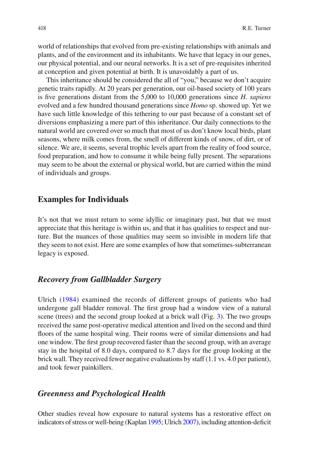world of relationships that evolved from pre-existing relationships with animals and plants, and of the environment and its inhabitants. We have that legacy in our genes, our physical potential, and our neural networks. It is a set of pre-requisites inherited at conception and given potential at birth. It is unavoidably a part of us.

 This inheritance should be considered the all of "you," because we don't acquire genetic traits rapidly. At 20 years per generation, our oil-based society of 100 years is five generations distant from the 5,000 to 10,000 generations since *H. sapiens* evolved and a few hundred thousand generations since *Homo* sp. showed up. Yet we have such little knowledge of this tethering to our past because of a constant set of diversions emphasizing a mere part of this inheritance. Our daily connections to the natural world are covered over so much that most of us don't know local birds, plant seasons, where milk comes from, the smell of different kinds of snow, of dirt, or of silence. We are, it seems, several trophic levels apart from the reality of food source, food preparation, and how to consume it while being fully present. The separations may seem to be about the external or physical world, but are carried within the mind of individuals and groups.

#### **Examples for Individuals**

 It's not that we must return to some idyllic or imaginary past, but that we must appreciate that this heritage is within us, and that it has qualities to respect and nurture. But the nuances of those qualities may seem so invisible in modern life that they seem to not exist. Here are some examples of how that sometimes-subterranean legacy is exposed.

#### *Recovery from Gallbladder Surgery*

Ulrich (1984) examined the records of different groups of patients who had undergone gall bladder removal. The first group had a window view of a natural scene (trees) and the second group looked at a brick wall (Fig. 3). The two groups received the same post-operative medical attention and lived on the second and third floors of the same hospital wing. Their rooms were of similar dimensions and had one window. The first group recovered faster than the second group, with an average stay in the hospital of 8.0 days, compared to 8.7 days for the group looking at the brick wall. They received fewer negative evaluations by staff (1.1 vs. 4.0 per patient), and took fewer painkillers.

#### *Greenness and Psychological Health*

 Other studies reveal how exposure to natural systems has a restorative effect on indicators of stress or well-being (Kaplan 1995; Ulrich [2007](#page-16-0)), including attention-deficit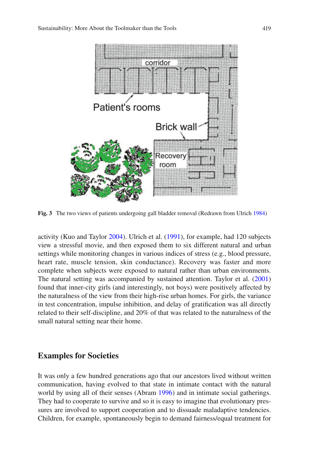<span id="page-5-0"></span>

Fig. 3 The two views of patients undergoing gall bladder removal (Redrawn from Ulrich [1984](#page-16-0))

activity (Kuo and Taylor  $2004$ ). Ulrich et al.  $(1991)$ , for example, had 120 subjects view a stressful movie, and then exposed them to six different natural and urban settings while monitoring changes in various indices of stress (e.g., blood pressure, heart rate, muscle tension, skin conductance). Recovery was faster and more complete when subjects were exposed to natural rather than urban environments. The natural setting was accompanied by sustained attention. Taylor et al.  $(2001)$ found that inner-city girls (and interestingly, not boys) were positively affected by the naturalness of the view from their high-rise urban homes. For girls, the variance in test concentration, impulse inhibition, and delay of gratification was all directly related to their self-discipline, and 20% of that was related to the naturalness of the small natural setting near their home.

#### **Examples for Societies**

 It was only a few hundred generations ago that our ancestors lived without written communication, having evolved to that state in intimate contact with the natural world by using all of their senses (Abram [1996](#page-15-0)) and in intimate social gatherings. They had to cooperate to survive and so it is easy to imagine that evolutionary pressures are involved to support cooperation and to dissuade maladaptive tendencies. Children, for example, spontaneously begin to demand fairness/equal treatment for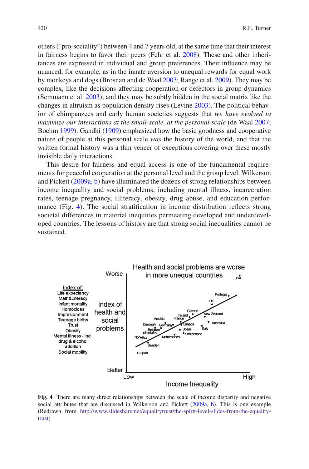others ("pro-sociality") between 4 and 7 years old, at the same time that their interest in fairness begins to favor their peers (Fehr et al.  $2008$ ). These and other inheritances are expressed in individual and group preferences. Their influence may be nuanced, for example, as in the innate aversion to unequal rewards for equal work by monkeys and dogs (Brosnan and de Waal [2003 ;](#page-15-0) Range et al. [2009 \)](#page-16-0) . They may be complex, like the decisions affecting cooperation or defectors in group dynamics (Semmann et al. 2003); and they may be subtly hidden in the social matrix like the changes in altruism as population density rises (Levine [2003 \)](#page-15-0) . The political behavior of chimpanzees and early human societies suggests that *we have evolved to maximize our interactions at the small-scale, at the personal scale* (de Waal 2007; Boehm [1999](#page-15-0)). Gandhi (1909) emphasized how the basic goodness and cooperative nature of people at this personal scale *was* the history of the world, and that the written formal history was a thin veneer of exceptions covering over these mostly invisible daily interactions.

 This desire for fairness and equal access is one of the fundamental requirements for peaceful cooperation at the personal level and the group level. Wilkerson and Pickett  $(2009a, b)$  have illuminated the dozens of strong relationships between income inequality and social problems, including mental illness, incarceration rates, teenage pregnancy, illiteracy, obesity, drug abuse, and education performance (Fig. 4). The social stratification in income distribution reflects strong societal differences in material inequities permeating developed and underdeveloped countries. The lessons of history are that strong social inequalities cannot be sustained.



 **Fig. 4** There are many direct relationships between the scale of income disparity and negative social attributes that are discussed in Wilkerson and Pickett (2009a, b). This is one example (Redrawn from [http://www.slideshare.net/equalitytrust/the-spirit-level-slides-from-the-equality](http://www.slideshare.net/equalitytrust/the-spirit-level-slides-from-the-equality-trust)[trust\)](http://www.slideshare.net/equalitytrust/the-spirit-level-slides-from-the-equality-trust)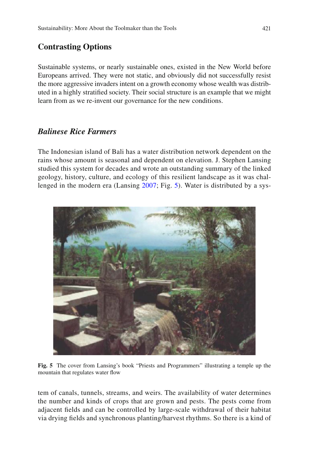# **Contrasting Options**

 Sustainable systems, or nearly sustainable ones, existed in the New World before Europeans arrived. They were not static, and obviously did not successfully resist the more aggressive invaders intent on a growth economy whose wealth was distributed in a highly stratified society. Their social structure is an example that we might learn from as we re-invent our governance for the new conditions.

# *Balinese Rice Farmers*

 The Indonesian island of Bali has a water distribution network dependent on the rains whose amount is seasonal and dependent on elevation. J. Stephen Lansing studied this system for decades and wrote an outstanding summary of the linked geology, history, culture, and ecology of this resilient landscape as it was challenged in the modern era (Lansing 2007; Fig. 5). Water is distributed by a sys-



 **Fig. 5** The cover from Lansing's book "Priests and Programmers" illustrating a temple up the mountain that regulates water flow

tem of canals, tunnels, streams, and weirs. The availability of water determines the number and kinds of crops that are grown and pests. The pests come from adjacent fields and can be controlled by large-scale withdrawal of their habitat via drying fields and synchronous planting/harvest rhythms. So there is a kind of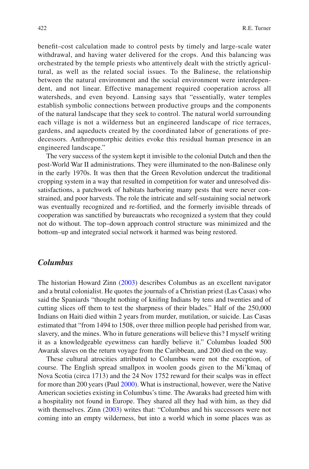benefit–cost calculation made to control pests by timely and large-scale water withdrawal, and having water delivered for the crops. And this balancing was orchestrated by the temple priests who attentively dealt with the strictly agricultural, as well as the related social issues. To the Balinese, the relationship between the natural environment and the social environment were interdependent, and not linear. Effective management required cooperation across all watersheds, and even beyond. Lansing says that "essentially, water temples establish symbolic connections between productive groups and the components of the natural landscape that they seek to control. The natural world surrounding each village is not a wilderness but an engineered landscape of rice terraces, gardens, and aqueducts created by the coordinated labor of generations of predecessors. Anthropomorphic deities evoke this residual human presence in an engineered landscape."

 The very success of the system kept it invisible to the colonial Dutch and then the post-World War II administrations. They were illuminated to the non-Balinese only in the early 1970s. It was then that the Green Revolution undercut the traditional cropping system in a way that resulted in competition for water and unresolved dissatisfactions, a patchwork of habitats harboring many pests that were never constrained, and poor harvests. The role the intricate and self-sustaining social network was eventually recognized and re-fortified, and the formerly invisible threads of cooperation was sanctified by bureaucrats who recognized a system that they could not do without. The top–down approach control structure was minimized and the bottom–up and integrated social network it harmed was being restored.

#### *Columbus*

The historian Howard Zinn (2003) describes Columbus as an excellent navigator and a brutal colonialist. He quotes the journals of a Christian priest (Las Casas) who said the Spaniards "thought nothing of knifing Indians by tens and twenties and of cutting slices off them to test the sharpness of their blades." Half of the 250,000 Indians on Haiti died within 2 years from murder, mutilation, or suicide. Las Casas estimated that "from 1494 to 1508, over three million people had perished from war, slavery, and the mines. Who in future generations will believe this? I myself writing it as a knowledgeable eyewitness can hardly believe it." Columbus loaded 500 Awarak slaves on the return voyage from the Caribbean, and 200 died on the way.

 These cultural atrocities attributed to Columbus were not the exception, of course. The English spread smallpox in woolen goods given to the Mi'kmaq of Nova Scotia (circa 1713) and the 24 Nov 1752 reward for their scalps was in effect for more than 200 years (Paul 2000). What is instructional, however, were the Native American societies existing in Columbus's time. The Awaraks had greeted him with a hospitality not found in Europe. They shared all they had with him, as they did with themselves. Zinn  $(2003)$  writes that: "Columbus and his successors were not coming into an empty wilderness, but into a world which in some places was as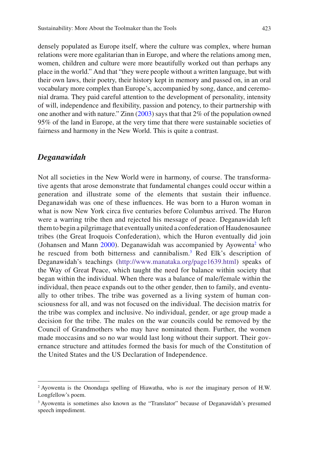densely populated as Europe itself, where the culture was complex, where human relations were more egalitarian than in Europe, and where the relations among men, women, children and culture were more beautifully worked out than perhaps any place in the world." And that "they were people without a written language, but with their own laws, their poetry, their history kept in memory and passed on, in an oral vocabulary more complex than Europe's, accompanied by song, dance, and ceremonial drama. They paid careful attention to the development of personality, intensity of will, independence and flexibility, passion and potency, to their partnership with one another and with nature." Zinn  $(2003)$  says that that  $2\%$  of the population owned 95% of the land in Europe, at the very time that there were sustainable societies of fairness and harmony in the New World. This is quite a contrast.

#### *Deganawidah*

 Not all societies in the New World were in harmony, of course. The transformative agents that arose demonstrate that fundamental changes could occur within a generation and illustrate some of the elements that sustain their influence. Deganawidah was one of these influences. He was born to a Huron woman in what is now New York circa five centuries before Columbus arrived. The Huron were a warring tribe then and rejected his message of peace. Deganawidah left them to begin a pilgrimage that eventually united a confederation of Haudenosaunee tribes (the Great Iroquois Confederation), which the Huron eventually did join (Johansen and Mann  $2000$ ). Deganawidah was accompanied by Ayowenta<sup>2</sup> who he rescued from both bitterness and cannibalism.<sup>3</sup> Red Elk's description of Deganawidah's teachings (<http://www.manataka.org/page1639.html>) speaks of the Way of Great Peace, which taught the need for balance within society that began within the individual. When there was a balance of male/female within the individual, then peace expands out to the other gender, then to family, and eventually to other tribes. The tribe was governed as a living system of human consciousness for all, and was not focused on the individual. The decision matrix for the tribe was complex and inclusive. No individual, gender, or age group made a decision for the tribe. The males on the war councils could be removed by the Council of Grandmothers who may have nominated them. Further, the women made moccasins and so no war would last long without their support. Their governance structure and attitudes formed the basis for much of the Constitution of the United States and the US Declaration of Independence.

 <sup>2</sup> Ayowenta is the Onondaga spelling of Hiawatha, who is *not* the imaginary person of H.W. Longfellow's poem.

 <sup>3</sup> Ayowenta is sometimes also known as the "Translator" because of Deganawidah's presumed speech impediment.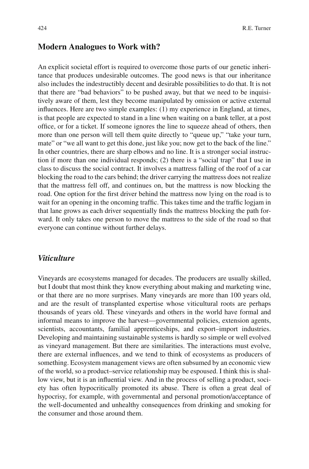#### **Modern Analogues to Work with?**

 An explicit societal effort is required to overcome those parts of our genetic inheritance that produces undesirable outcomes. The good news is that our inheritance also includes the indestructibly decent and desirable possibilities to do that. It is not that there are "bad behaviors" to be pushed away, but that we need to be inquisitively aware of them, lest they become manipulated by omission or active external influences. Here are two simple examples: (1) my experience in England, at times, is that people are expected to stand in a line when waiting on a bank teller, at a post office, or for a ticket. If someone ignores the line to squeeze ahead of others, then more than one person will tell them quite directly to "queue up," "take your turn, mate" or "we all want to get this done, just like you; now get to the back of the line." In other countries, there are sharp elbows and no line. It is a stronger social instruction if more than one individual responds; (2) there is a "social trap" that I use in class to discuss the social contract. It involves a mattress falling of the roof of a car blocking the road to the cars behind; the driver carrying the mattress does not realize that the mattress fell off, and continues on, but the mattress is now blocking the road. One option for the first driver behind the mattress now lying on the road is to wait for an opening in the oncoming traffic. This takes time and the traffic logjam in that lane grows as each driver sequentially finds the mattress blocking the path forward. It only takes one person to move the mattress to the side of the road so that everyone can continue without further delays.

#### *Viticulture*

 Vineyards are ecosystems managed for decades. The producers are usually skilled, but I doubt that most think they know everything about making and marketing wine, or that there are no more surprises. Many vineyards are more than 100 years old, and are the result of transplanted expertise whose viticultural roots are perhaps thousands of years old. These vineyards and others in the world have formal and informal means to improve the harvest—governmental policies, extension agents, scientists, accountants, familial apprenticeships, and export–import industries. Developing and maintaining sustainable systems is hardly so simple or well evolved as vineyard management. But there are similarities. The interactions must evolve, there are external influences, and we tend to think of ecosystems as producers of something. Ecosystem management views are often subsumed by an economic view of the world, so a product–service relationship may be espoused. I think this is shallow view, but it is an influential view. And in the process of selling a product, society has often hypocritically promoted its abuse. There is often a great deal of hypocrisy, for example, with governmental and personal promotion/acceptance of the well-documented and unhealthy consequences from drinking and smoking for the consumer and those around them.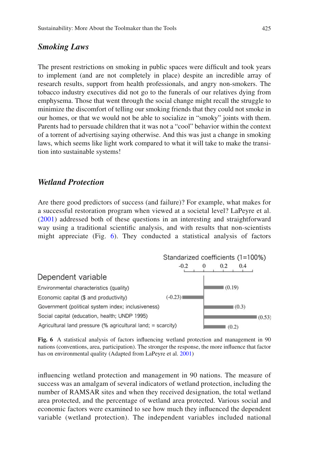### <span id="page-11-0"></span> *Smoking Laws*

The present restrictions on smoking in public spaces were difficult and took years to implement (and are not completely in place) despite an incredible array of research results, support from health professionals, and angry non-smokers. The tobacco industry executives did not go to the funerals of our relatives dying from emphysema. Those that went through the social change might recall the struggle to minimize the discomfort of telling our smoking friends that they could not smoke in our homes, or that we would not be able to socialize in "smoky" joints with them. Parents had to persuade children that it was not a "cool" behavior within the context of a torrent of advertising saying otherwise. And this was just a change in smoking laws, which seems like light work compared to what it will take to make the transition into sustainable systems!

# *Wetland Protection*

 Are there good predictors of success (and failure)? For example, what makes for a successful restoration program when viewed at a societal level? LaPeyre et al.  $(2001)$  addressed both of these questions in an interesting and straightforward way using a traditional scientific analysis, and with results that non-scientists might appreciate (Fig.  $6$ ). They conducted a statistical analysis of factors



**Fig. 6** A statistical analysis of factors influencing wetland protection and management in 90 nations (conventions, area, participation). The stronger the response, the more influence that factor has on environmental quality (Adapted from LaPeyre et al. 2001)

influencing wetland protection and management in 90 nations. The measure of success was an amalgam of several indicators of wetland protection, including the number of RAMSAR sites and when they received designation, the total wetland area protected, and the percentage of wetland area protected. Various social and economic factors were examined to see how much they influenced the dependent variable (wetland protection). The independent variables included national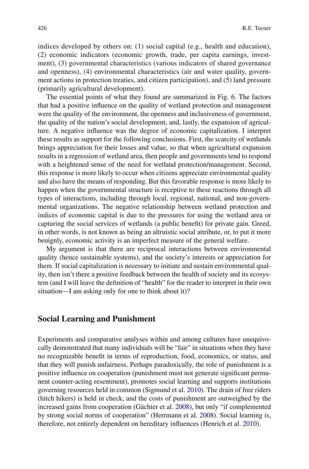indices developed by others on: (1) social capital (e.g., health and education), (2) economic indicators (economic growth, trade, per capita earnings, investment), (3) governmental characteristics (various indicators of shared governance and openness), (4) environmental characteristics (air and water quality, government actions in protection treaties, and citizen participation), and (5) land pressure (primarily agricultural development).

The essential points of what they found are summarized in Fig. 6. The factors that had a positive influence on the quality of wetland protection and management were the quality of the environment, the openness and inclusiveness of government, the quality of the nation's social development, and, lastly, the expansion of agriculture. A negative influence was the degree of economic capitalization. I interpret these results as support for the following conclusions. First, the scarcity of wetlands brings appreciation for their losses and value, so that when agricultural expansion results in a regression of wetland area, then people and governments tend to respond with a heightened sense of the need for wetland protection/management. Second, this response is more likely to occur when citizens appreciate environmental quality and also have the means of responding. But this favorable response is more likely to happen when the governmental structure is receptive to these reactions through all types of interactions, including through local, regional, national, and non-governmental organizations. The negative relationship between wetland protection and indices of economic capital is due to the pressures for using the wetland area or capturing the social services of wetlands (a public benefit) for private gain. Greed, in other words, is not known as being an altruistic social attribute, or, to put it more benignly, economic activity is an imperfect measure of the general welfare.

 My argument is that there are reciprocal interactions between environmental quality (hence sustainable systems), and the society's interests or appreciation for them. If social capitalization is necessary to initiate and sustain environmental quality, then isn't there a positive feedback between the health of society and its ecosystem (and I will leave the definition of "health" for the reader to interpret in their own situation—I am asking only for one to think about it)?

#### **Social Learning and Punishment**

 Experiments and comparative analyses within and among cultures have unequivocally demonstrated that many individuals will be "fair" in situations when they have no recognizable benefit in terms of reproduction, food, economics, or status, and that they will punish unfairness. Perhaps paradoxically, the role of punishment is a positive influence on cooperation (punishment must not generate significant permanent counter-acting resentment), promotes social learning and supports institutions governing resources held in common (Sigmund et al. [2010 \)](#page-16-0) . The drain of free riders (hitch hikers) is held in check, and the costs of punishment are outweighed by the increased gains from cooperation (Gächter et al. [2008](#page-15-0)), but only "if complemented by strong social norms of cooperation" (Herrmann et al. [2008](#page-15-0)). Social learning is, therefore, not entirely dependent on hereditary influences (Henrich et al.  $2010$ ).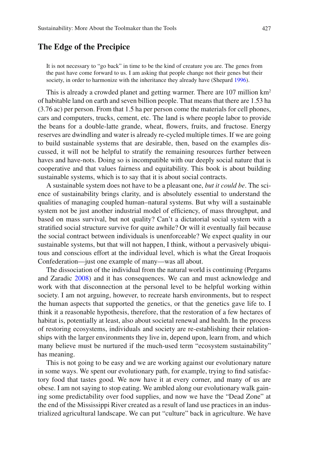#### **The Edge of the Precipice**

 It is not necessary to "go back" in time to be the kind of creature you are. The genes from the past have come forward to us. I am asking that people change not their genes but their society, in order to harmonize with the inheritance they already have (Shepard [1996](#page-16-0)).

This is already a crowded planet and getting warmer. There are  $107$  million  $km<sup>2</sup>$ of habitable land on earth and seven billion people. That means that there are 1.53 ha (3.76 ac) per person. From that 1.5 ha per person come the materials for cell phones, cars and computers, trucks, cement, etc. The land is where people labor to provide the beans for a double-latte grande, wheat, flowers, fruits, and fructose. Energy reserves are dwindling and water is already re-cycled multiple times. If we are going to build sustainable systems that are desirable, then, based on the examples discussed, it will not be helpful to stratify the remaining resources further between haves and have-nots. Doing so is incompatible with our deeply social nature that is cooperative and that values fairness and equitability. This book is about building sustainable systems, which is to say that it is about social contracts.

 A sustainable system does not have to be a pleasant one, *but it could be* . The science of sustainability brings clarity, and is absolutely essential to understand the qualities of managing coupled human–natural systems. But why will a sustainable system not be just another industrial model of efficiency, of mass throughput, and based on mass survival, but not quality? Can't a dictatorial social system with a stratified social structure survive for quite awhile? Or will it eventually fail because the social contract between individuals is unenforceable? We expect quality in our sustainable systems, but that will not happen, I think, without a pervasively ubiquitous and conscious effort at the individual level, which is what the Great Iroquois Confederation—just one example of many—was all about.

 The dissociation of the individual from the natural world is continuing (Pergams and Zaradic [2008](#page-16-0)) and it has consequences. We can and must acknowledge and work with that disconnection at the personal level to be helpful working within society. I am not arguing, however, to recreate harsh environments, but to respect the human aspects that supported the genetics, or that the genetics gave life to. I think it a reasonable hypothesis, therefore, that the restoration of a few hectares of habitat is, potentially at least, also about societal renewal and health. In the process of restoring ecosystems, individuals and society are re-establishing their relationships with the larger environments they live in, depend upon, learn from, and which many believe must be nurtured if the much-used term "ecosystem sustainability" has meaning.

 This is not going to be easy and we are working against our evolutionary nature in some ways. We spent our evolutionary path, for example, trying to find satisfactory food that tastes good. We now have it at every corner, and many of us are obese. I am not saying to stop eating. We ambled along our evolutionary walk gaining some predictability over food supplies, and now we have the "Dead Zone" at the end of the Mississippi River created as a result of land use practices in an industrialized agricultural landscape. We can put "culture" back in agriculture. We have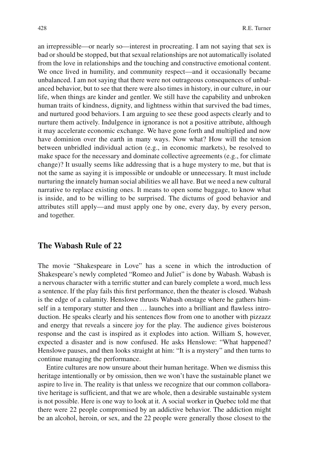an irrepressible—or nearly so—interest in procreating. I am not saying that sex is bad or should be stopped, but that sexual relationships are not automatically isolated from the love in relationships and the touching and constructive emotional content. We once lived in humility, and community respect—and it occasionally became unbalanced. I am not saying that there were not outrageous consequences of unbalanced behavior, but to see that there were also times in history, in our culture, in our life, when things are kinder and gentler. We still have the capability and unbroken human traits of kindness, dignity, and lightness within that survived the bad times, and nurtured good behaviors. I am arguing to see these good aspects clearly and to nurture them actively. Indulgence in ignorance is not a positive attribute, although it may accelerate economic exchange. We have gone forth and multiplied and now have dominion over the earth in many ways. Now what? How will the tension between unbridled individual action (e.g., in economic markets), be resolved to make space for the necessary and dominate collective agreements (e.g., for climate change)? It usually seems like addressing that is a huge mystery to me, but that is not the same as saying it is impossible or undoable or unnecessary. It must include nurturing the innately human social abilities we all have. But we need a new cultural narrative to replace existing ones. It means to open some baggage, to know what is inside, and to be willing to be surprised. The dictums of good behavior and attributes still apply—and must apply one by one, every day, by every person, and together.

#### **The Wabash Rule of 22**

 The movie "Shakespeare in Love" has a scene in which the introduction of Shakespeare's newly completed "Romeo and Juliet" is done by Wabash. Wabash is a nervous character with a terrific stutter and can barely complete a word, much less a sentence. If the play fails this first performance, then the theater is closed. Wabash is the edge of a calamity. Henslowe thrusts Wabash onstage where he gathers himself in a temporary stutter and then ... launches into a brilliant and flawless introduction. He speaks clearly and his sentences flow from one to another with pizzazz and energy that reveals a sincere joy for the play. The audience gives boisterous response and the cast is inspired as it explodes into action. William S, however, expected a disaster and is now confused. He asks Henslowe: "What happened? Henslowe pauses, and then looks straight at him: "It is a mystery" and then turns to continue managing the performance.

 Entire cultures are now unsure about their human heritage. When we dismiss this heritage intentionally or by omission, then we won't have the sustainable planet we aspire to live in. The reality is that unless we recognize that our common collaborative heritage is sufficient, and that we are whole, then a desirable sustainable system is not possible. Here is one way to look at it. A social worker in Quebec told me that there were 22 people compromised by an addictive behavior. The addiction might be an alcohol, heroin, or sex, and the 22 people were generally those closest to the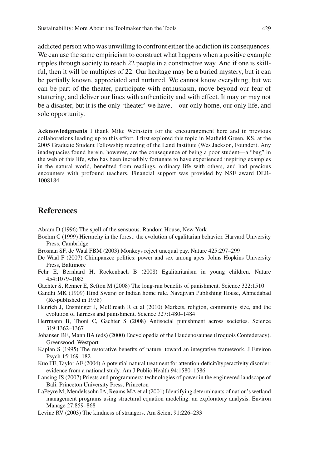<span id="page-15-0"></span>addicted person who was unwilling to confront either the addiction its consequences. We can use the same empiricism to construct what happens when a positive example ripples through society to reach 22 people in a constructive way. And if one is skillful, then it will be multiples of 22. Our heritage may be a buried mystery, but it can be partially known, appreciated and nurtured. We cannot know everything, but we can be part of the theater, participate with enthusiasm, move beyond our fear of stuttering, and deliver our lines with authenticity and with effect. It may or may not be a disaster, but it is the only 'theater' we have, – our only home, our only life, and sole opportunity.

 **Acknowledgments** I thank Mike Weinstein for the encouragement here and in previous collaborations leading up to this effort. I first explored this topic in Matfield Green, KS, at the 2005 Graduate Student Fellowship meeting of the Land Institute (Wes Jackson, Founder). Any inadequacies found herein, however, are the consequence of being a poor student—a "bug" in the web of this life, who has been incredibly fortunate to have experienced inspiring examples in the natural world, benefited from readings, ordinary life with others, and had precious encounters with profound teachers. Financial support was provided by NSF award DEB-1008184.

#### **References**

- Abram D (1996) The spell of the sensuous. Random House, New York
- Boehm C (1999) Hierarchy in the forest: the evolution of egalitarian behavior. Harvard University Press, Cambridge
- Brosnan SF, de Waal FBM (2003) Monkeys reject unequal pay. Nature 425:297–299
- De Waal F (2007) Chimpanzee politics: power and sex among apes. Johns Hopkins University Press, Baltimore
- Fehr E, Bernhard H, Rockenbach B (2008) Egalitarianism in young children. Nature 454:1079–1083
- Gächter S, Renner E, Sefton M (2008) The long-run benefits of punishment. Science 322:1510
- Gandhi MK (1909) Hind Swaraj or Indian home rule. Navajivan Publishing House, Ahmedabad (Re-published in 1938)
- Henrich J, Ensminger J, McElreath R et al (2010) Markets, religion, community size, and the evolution of fairness and punishment. Science 327:1480–1484
- Herrmann B, Thoni C, Gachter S (2008) Antisocial punishment across societies. Science 319:1362–1367
- Johansen BE, Mann BA (eds) (2000) Encyclopedia of the Haudenosaunee (Iroquois Confederacy). Greenwood, Westport
- Kaplan S (1995) The restorative benefits of nature: toward an integrative framework. J Environ Psych 15:169–182
- Kuo FE, Taylor AF (2004) A potential natural treatment for attention-deficit/hyperactivity disorder: evidence from a national study. Am J Public Health 94:1580–1586
- Lansing JS (2007) Priests and programmers: technologies of power in the engineered landscape of Bali. Princeton University Press, Princeton
- LaPeyre M, Mendelssohn IA, Reams MA et al (2001) Identifying determinants of nation's wetland management programs using structural equation modeling: an exploratory analysis. Environ Manage 27:859–868
- Levine RV (2003) The kindness of strangers. Am Scient 91:226–233